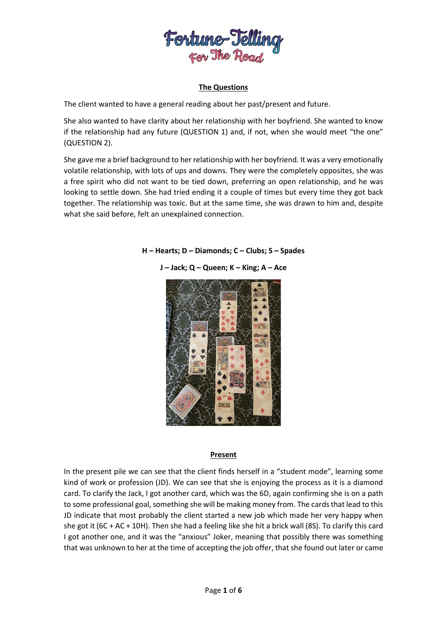

# **The Questions**

The client wanted to have a general reading about her past/present and future.

She also wanted to have clarity about her relationship with her boyfriend. She wanted to know if the relationship had any future (QUESTION 1) and, if not, when she would meet "the one" (QUESTION 2).

She gave me a brief background to her relationship with her boyfriend. It was a very emotionally volatile relationship, with lots of ups and downs. They were the completely opposites, she was a free spirit who did not want to be tied down, preferring an open relationship, and he was looking to settle down. She had tried ending it a couple of times but every time they got back together. The relationship was toxic. But at the same time, she was drawn to him and, despite what she said before, felt an unexplained connection.



**H – Hearts; D – Diamonds; C – Clubs; S – Spades**

#### **Present**

In the present pile we can see that the client finds herself in a "student mode", learning some kind of work or profession (JD). We can see that she is enjoying the process as it is a diamond card. To clarify the Jack, I got another card, which was the 6D, again confirming she is on a path to some professional goal, something she will be making money from. The cards that lead to this JD indicate that most probably the client started a new job which made her very happy when she got it (6C + AC + 10H). Then she had a feeling like she hit a brick wall (8S). To clarify this card I got another one, and it was the "anxious" Joker, meaning that possibly there was something that was unknown to her at the time of accepting the job offer, that she found out later or came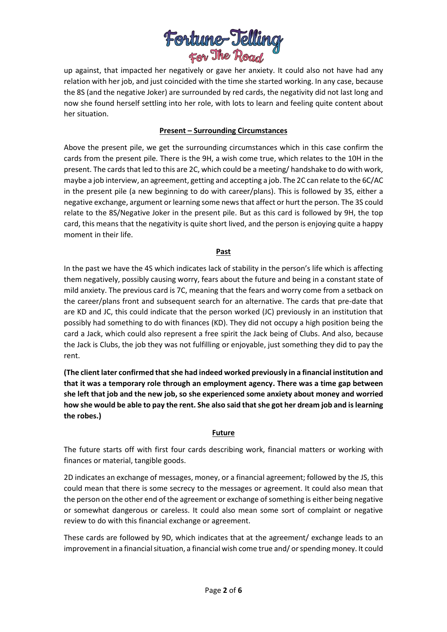

up against, that impacted her negatively or gave her anxiety. It could also not have had any relation with her job, and just coincided with the time she started working. In any case, because the 8S (and the negative Joker) are surrounded by red cards, the negativity did not last long and now she found herself settling into her role, with lots to learn and feeling quite content about her situation.

# **Present – Surrounding Circumstances**

Above the present pile, we get the surrounding circumstances which in this case confirm the cards from the present pile. There is the 9H, a wish come true, which relates to the 10H in the present. The cards that led to this are 2C, which could be a meeting/ handshake to do with work, maybe a job interview, an agreement, getting and accepting a job. The 2C can relate to the 6C/AC in the present pile (a new beginning to do with career/plans). This is followed by 3S, either a negative exchange, argument or learning some news that affect or hurt the person. The 3S could relate to the 8S/Negative Joker in the present pile. But as this card is followed by 9H, the top card, this means that the negativity is quite short lived, and the person is enjoying quite a happy moment in their life.

### **Past**

In the past we have the 4S which indicates lack of stability in the person's life which is affecting them negatively, possibly causing worry, fears about the future and being in a constant state of mild anxiety. The previous card is 7C, meaning that the fears and worry come from a setback on the career/plans front and subsequent search for an alternative. The cards that pre-date that are KD and JC, this could indicate that the person worked (JC) previously in an institution that possibly had something to do with finances (KD). They did not occupy a high position being the card a Jack, which could also represent a free spirit the Jack being of Clubs. And also, because the Jack is Clubs, the job they was not fulfilling or enjoyable, just something they did to pay the rent.

**(The client later confirmed that she had indeed worked previously in a financial institution and that it was a temporary role through an employment agency. There was a time gap between she left that job and the new job, so she experienced some anxiety about money and worried how she would be able to pay the rent. She also said that she got her dream job and islearning the robes.)**

### **Future**

The future starts off with first four cards describing work, financial matters or working with finances or material, tangible goods.

2D indicates an exchange of messages, money, or a financial agreement; followed by the JS, this could mean that there is some secrecy to the messages or agreement. It could also mean that the person on the other end of the agreement or exchange of something is either being negative or somewhat dangerous or careless. It could also mean some sort of complaint or negative review to do with this financial exchange or agreement.

These cards are followed by 9D, which indicates that at the agreement/ exchange leads to an improvement in a financial situation, a financial wish come true and/ or spending money. It could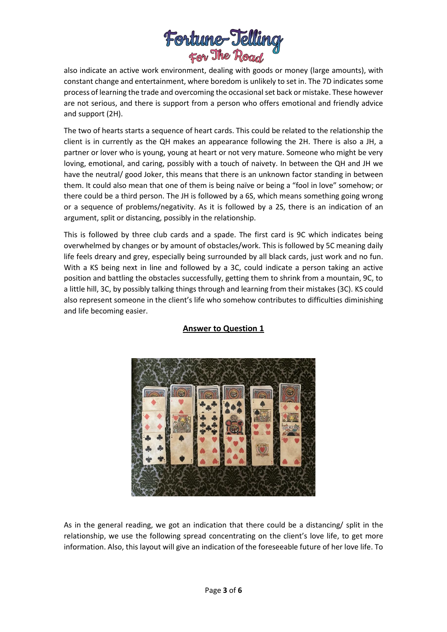

also indicate an active work environment, dealing with goods or money (large amounts), with constant change and entertainment, where boredom is unlikely to set in. The 7D indicates some process of learning the trade and overcoming the occasional set back or mistake. These however are not serious, and there is support from a person who offers emotional and friendly advice and support (2H).

The two of hearts starts a sequence of heart cards. This could be related to the relationship the client is in currently as the QH makes an appearance following the 2H. There is also a JH, a partner or lover who is young, young at heart or not very mature. Someone who might be very loving, emotional, and caring, possibly with a touch of naivety. In between the QH and JH we have the neutral/ good Joker, this means that there is an unknown factor standing in between them. It could also mean that one of them is being naïve or being a "fool in love" somehow; or there could be a third person. The JH is followed by a 6S, which means something going wrong or a sequence of problems/negativity. As it is followed by a 2S, there is an indication of an argument, split or distancing, possibly in the relationship.

This is followed by three club cards and a spade. The first card is 9C which indicates being overwhelmed by changes or by amount of obstacles/work. This is followed by 5C meaning daily life feels dreary and grey, especially being surrounded by all black cards, just work and no fun. With a KS being next in line and followed by a 3C, could indicate a person taking an active position and battling the obstacles successfully, getting them to shrink from a mountain, 9C, to a little hill, 3C, by possibly talking things through and learning from their mistakes (3C). KS could also represent someone in the client's life who somehow contributes to difficulties diminishing and life becoming easier.



# **Answer to Question 1**

As in the general reading, we got an indication that there could be a distancing/ split in the relationship, we use the following spread concentrating on the client's love life, to get more information. Also, this layout will give an indication of the foreseeable future of her love life. To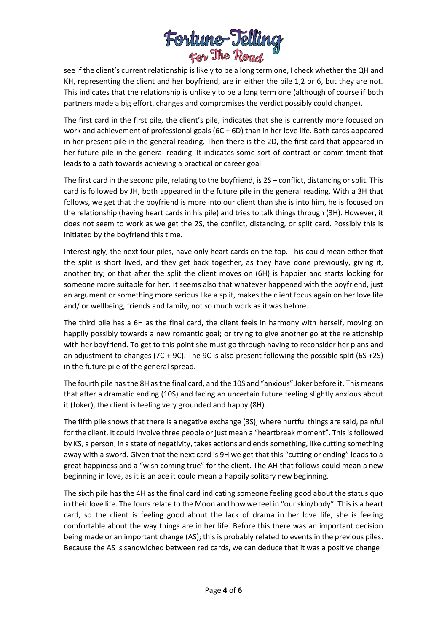

see if the client's current relationship is likely to be a long term one, I check whether the QH and KH, representing the client and her boyfriend, are in either the pile 1,2 or 6, but they are not. This indicates that the relationship is unlikely to be a long term one (although of course if both partners made a big effort, changes and compromises the verdict possibly could change).

The first card in the first pile, the client's pile, indicates that she is currently more focused on work and achievement of professional goals (6C + 6D) than in her love life. Both cards appeared in her present pile in the general reading. Then there is the 2D, the first card that appeared in her future pile in the general reading. It indicates some sort of contract or commitment that leads to a path towards achieving a practical or career goal.

The first card in the second pile, relating to the boyfriend, is 2S – conflict, distancing orsplit. This card is followed by JH, both appeared in the future pile in the general reading. With a 3H that follows, we get that the boyfriend is more into our client than she is into him, he is focused on the relationship (having heart cards in his pile) and tries to talk things through (3H). However, it does not seem to work as we get the 2S, the conflict, distancing, or split card. Possibly this is initiated by the boyfriend this time.

Interestingly, the next four piles, have only heart cards on the top. This could mean either that the split is short lived, and they get back together, as they have done previously, giving it, another try; or that after the split the client moves on (6H) is happier and starts looking for someone more suitable for her. It seems also that whatever happened with the boyfriend, just an argument or something more serious like a split, makes the client focus again on her love life and/ or wellbeing, friends and family, not so much work as it was before.

The third pile has a 6H as the final card, the client feels in harmony with herself, moving on happily possibly towards a new romantic goal; or trying to give another go at the relationship with her boyfriend. To get to this point she must go through having to reconsider her plans and an adjustment to changes (7C + 9C). The 9C is also present following the possible split (6S +2S) in the future pile of the general spread.

The fourth pile has the 8H as the final card, and the 10S and "anxious" Joker before it. This means that after a dramatic ending (10S) and facing an uncertain future feeling slightly anxious about it (Joker), the client is feeling very grounded and happy (8H).

The fifth pile shows that there is a negative exchange (3S), where hurtful things are said, painful for the client. It could involve three people or just mean a "heartbreak moment". This is followed by KS, a person, in a state of negativity, takes actions and ends something, like cutting something away with a sword. Given that the next card is 9H we get that this "cutting or ending" leads to a great happiness and a "wish coming true" for the client. The AH that follows could mean a new beginning in love, as it is an ace it could mean a happily solitary new beginning.

The sixth pile has the 4H as the final card indicating someone feeling good about the status quo in their love life. The fours relate to the Moon and how we feel in "our skin/body". This is a heart card, so the client is feeling good about the lack of drama in her love life, she is feeling comfortable about the way things are in her life. Before this there was an important decision being made or an important change (AS); this is probably related to events in the previous piles. Because the AS is sandwiched between red cards, we can deduce that it was a positive change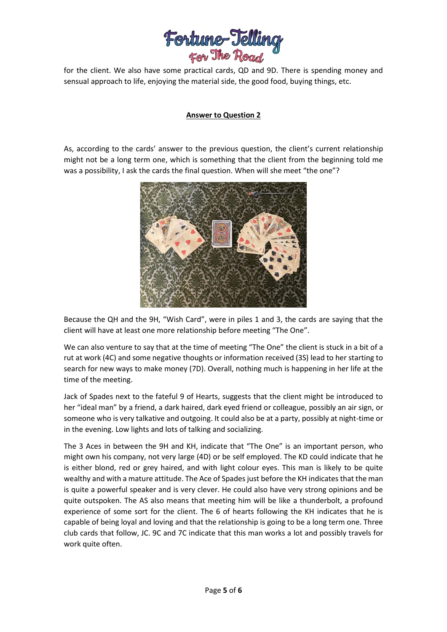

for the client. We also have some practical cards, QD and 9D. There is spending money and sensual approach to life, enjoying the material side, the good food, buying things, etc.

# **Answer to Question 2**

As, according to the cards' answer to the previous question, the client's current relationship might not be a long term one, which is something that the client from the beginning told me was a possibility, I ask the cards the final question. When will she meet "the one"?



Because the QH and the 9H, "Wish Card", were in piles 1 and 3, the cards are saying that the client will have at least one more relationship before meeting "The One".

We can also venture to say that at the time of meeting "The One" the client is stuck in a bit of a rut at work (4C) and some negative thoughts or information received (3S) lead to her starting to search for new ways to make money (7D). Overall, nothing much is happening in her life at the time of the meeting.

Jack of Spades next to the fateful 9 of Hearts, suggests that the client might be introduced to her "ideal man" by a friend, a dark haired, dark eyed friend or colleague, possibly an air sign, or someone who is very talkative and outgoing. It could also be at a party, possibly at night-time or in the evening. Low lights and lots of talking and socializing.

The 3 Aces in between the 9H and KH, indicate that "The One" is an important person, who might own his company, not very large (4D) or be self employed. The KD could indicate that he is either blond, red or grey haired, and with light colour eyes. This man is likely to be quite wealthy and with a mature attitude. The Ace of Spades just before the KH indicates that the man is quite a powerful speaker and is very clever. He could also have very strong opinions and be quite outspoken. The AS also means that meeting him will be like a thunderbolt, a profound experience of some sort for the client. The 6 of hearts following the KH indicates that he is capable of being loyal and loving and that the relationship is going to be a long term one. Three club cards that follow, JC. 9C and 7C indicate that this man works a lot and possibly travels for work quite often.